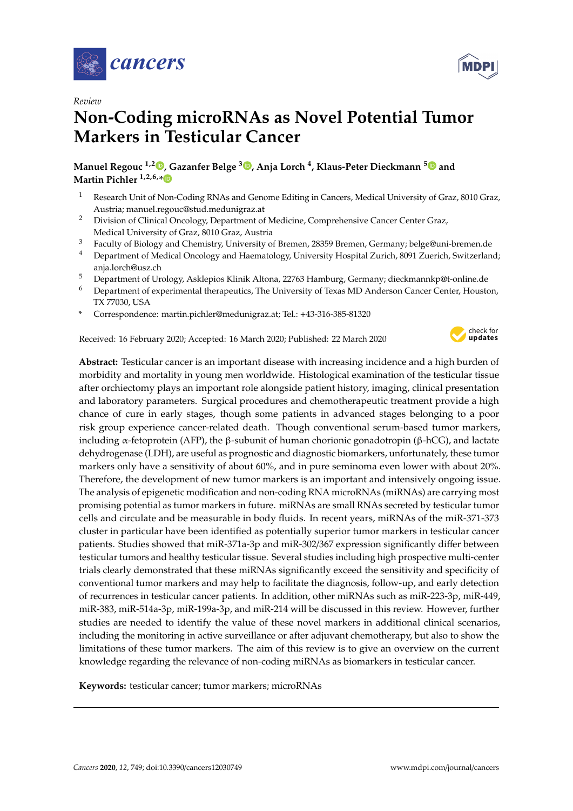



# **Non-Coding microRNAs as Novel Potential Tumor Markers in Testicular Cancer**

### **Manuel Regouc 1,2 [,](https://orcid.org/0000-0002-8166-8103) Gazanfer Belge <sup>3</sup> [,](https://orcid.org/0000-0001-8613-3450) Anja Lorch <sup>4</sup> , Klaus-Peter Dieckmann [5](https://orcid.org/0000-0002-3821-7956) and Martin Pichler 1,2,6,[\\*](https://orcid.org/0000-0002-8701-9462)**

- <sup>1</sup> Research Unit of Non-Coding RNAs and Genome Editing in Cancers, Medical University of Graz, 8010 Graz, Austria; manuel.regouc@stud.medunigraz.at
- <sup>2</sup> Division of Clinical Oncology, Department of Medicine, Comprehensive Cancer Center Graz, Medical University of Graz, 8010 Graz, Austria
- <sup>3</sup> Faculty of Biology and Chemistry, University of Bremen, 28359 Bremen, Germany; belge@uni-bremen.de
- <sup>4</sup> Department of Medical Oncology and Haematology, University Hospital Zurich, 8091 Zuerich, Switzerland; anja.lorch@usz.ch
- <sup>5</sup> Department of Urology, Asklepios Klinik Altona, 22763 Hamburg, Germany; dieckmannkp@t-online.de
- <sup>6</sup> Department of experimental therapeutics, The University of Texas MD Anderson Cancer Center, Houston, TX 77030, USA
- **\*** Correspondence: martin.pichler@medunigraz.at; Tel.: +43-316-385-81320

Received: 16 February 2020; Accepted: 16 March 2020; Published: 22 March 2020



**Abstract:** Testicular cancer is an important disease with increasing incidence and a high burden of morbidity and mortality in young men worldwide. Histological examination of the testicular tissue after orchiectomy plays an important role alongside patient history, imaging, clinical presentation and laboratory parameters. Surgical procedures and chemotherapeutic treatment provide a high chance of cure in early stages, though some patients in advanced stages belonging to a poor risk group experience cancer-related death. Though conventional serum-based tumor markers, including α-fetoprotein (AFP), the β-subunit of human chorionic gonadotropin (β-hCG), and lactate dehydrogenase (LDH), are useful as prognostic and diagnostic biomarkers, unfortunately, these tumor markers only have a sensitivity of about 60%, and in pure seminoma even lower with about 20%. Therefore, the development of new tumor markers is an important and intensively ongoing issue. The analysis of epigenetic modification and non-coding RNA microRNAs (miRNAs) are carrying most promising potential as tumor markers in future. miRNAs are small RNAs secreted by testicular tumor cells and circulate and be measurable in body fluids. In recent years, miRNAs of the miR-371-373 cluster in particular have been identified as potentially superior tumor markers in testicular cancer patients. Studies showed that miR-371a-3p and miR-302/367 expression significantly differ between testicular tumors and healthy testicular tissue. Several studies including high prospective multi-center trials clearly demonstrated that these miRNAs significantly exceed the sensitivity and specificity of conventional tumor markers and may help to facilitate the diagnosis, follow-up, and early detection of recurrences in testicular cancer patients. In addition, other miRNAs such as miR-223-3p, miR-449, miR-383, miR-514a-3p, miR-199a-3p, and miR-214 will be discussed in this review. However, further studies are needed to identify the value of these novel markers in additional clinical scenarios, including the monitoring in active surveillance or after adjuvant chemotherapy, but also to show the limitations of these tumor markers. The aim of this review is to give an overview on the current knowledge regarding the relevance of non-coding miRNAs as biomarkers in testicular cancer.

**Keywords:** testicular cancer; tumor markers; microRNAs

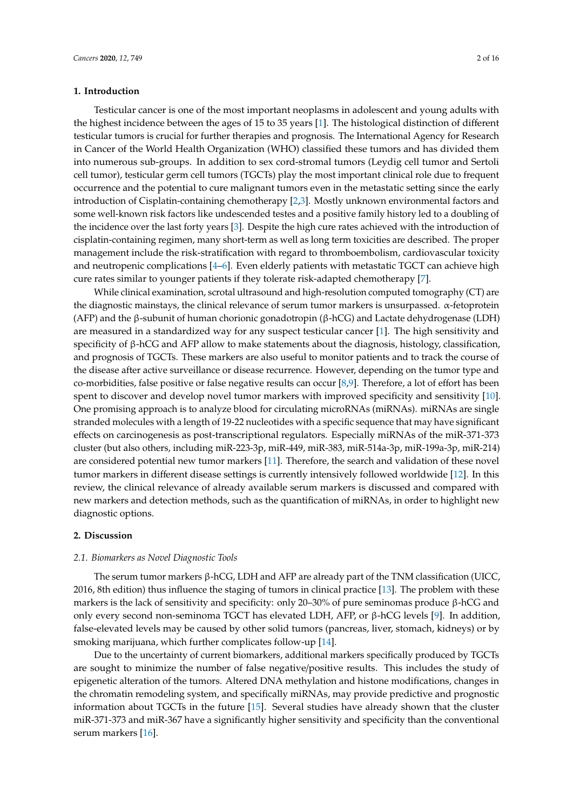#### **1. Introduction**

Testicular cancer is one of the most important neoplasms in adolescent and young adults with the highest incidence between the ages of 15 to 35 years [\[1\]](#page-10-0). The histological distinction of different testicular tumors is crucial for further therapies and prognosis. The International Agency for Research in Cancer of the World Health Organization (WHO) classified these tumors and has divided them into numerous sub-groups. In addition to sex cord-stromal tumors (Leydig cell tumor and Sertoli cell tumor), testicular germ cell tumors (TGCTs) play the most important clinical role due to frequent occurrence and the potential to cure malignant tumors even in the metastatic setting since the early introduction of Cisplatin-containing chemotherapy [\[2,](#page-10-1)[3\]](#page-10-2). Mostly unknown environmental factors and some well-known risk factors like undescended testes and a positive family history led to a doubling of the incidence over the last forty years [\[3\]](#page-10-2). Despite the high cure rates achieved with the introduction of cisplatin-containing regimen, many short-term as well as long term toxicities are described. The proper management include the risk-stratification with regard to thromboembolism, cardiovascular toxicity and neutropenic complications [\[4](#page-10-3)[–6\]](#page-10-4). Even elderly patients with metastatic TGCT can achieve high cure rates similar to younger patients if they tolerate risk-adapted chemotherapy [\[7\]](#page-10-5).

While clinical examination, scrotal ultrasound and high-resolution computed tomography (CT) are the diagnostic mainstays, the clinical relevance of serum tumor markers is unsurpassed.  $\alpha$ -fetoprotein (AFP) and the β-subunit of human chorionic gonadotropin (β-hCG) and Lactate dehydrogenase (LDH) are measured in a standardized way for any suspect testicular cancer [\[1\]](#page-10-0). The high sensitivity and specificity of β-hCG and AFP allow to make statements about the diagnosis, histology, classification, and prognosis of TGCTs. These markers are also useful to monitor patients and to track the course of the disease after active surveillance or disease recurrence. However, depending on the tumor type and co-morbidities, false positive or false negative results can occur [\[8](#page-10-6)[,9\]](#page-10-7). Therefore, a lot of effort has been spent to discover and develop novel tumor markers with improved specificity and sensitivity [\[10\]](#page-10-8). One promising approach is to analyze blood for circulating microRNAs (miRNAs). miRNAs are single stranded molecules with a length of 19-22 nucleotides with a specific sequence that may have significant effects on carcinogenesis as post-transcriptional regulators. Especially miRNAs of the miR-371-373 cluster (but also others, including miR-223-3p, miR-449, miR-383, miR-514a-3p, miR-199a-3p, miR-214) are considered potential new tumor markers [\[11\]](#page-10-9). Therefore, the search and validation of these novel tumor markers in different disease settings is currently intensively followed worldwide [\[12\]](#page-10-10). In this review, the clinical relevance of already available serum markers is discussed and compared with new markers and detection methods, such as the quantification of miRNAs, in order to highlight new diagnostic options.

#### **2. Discussion**

#### *2.1. Biomarkers as Novel Diagnostic Tools*

The serum tumor markers  $\beta$ -hCG, LDH and AFP are already part of the TNM classification (UICC, 2016, 8th edition) thus influence the staging of tumors in clinical practice [\[13\]](#page-10-11). The problem with these markers is the lack of sensitivity and specificity: only 20–30% of pure seminomas produce β-hCG and only every second non-seminoma TGCT has elevated LDH, AFP, or β-hCG levels [\[9\]](#page-10-7). In addition, false-elevated levels may be caused by other solid tumors (pancreas, liver, stomach, kidneys) or by smoking marijuana, which further complicates follow-up [\[14\]](#page-10-12).

Due to the uncertainty of current biomarkers, additional markers specifically produced by TGCTs are sought to minimize the number of false negative/positive results. This includes the study of epigenetic alteration of the tumors. Altered DNA methylation and histone modifications, changes in the chromatin remodeling system, and specifically miRNAs, may provide predictive and prognostic information about TGCTs in the future [\[15\]](#page-11-0). Several studies have already shown that the cluster miR-371-373 and miR-367 have a significantly higher sensitivity and specificity than the conventional serum markers [\[16\]](#page-11-1).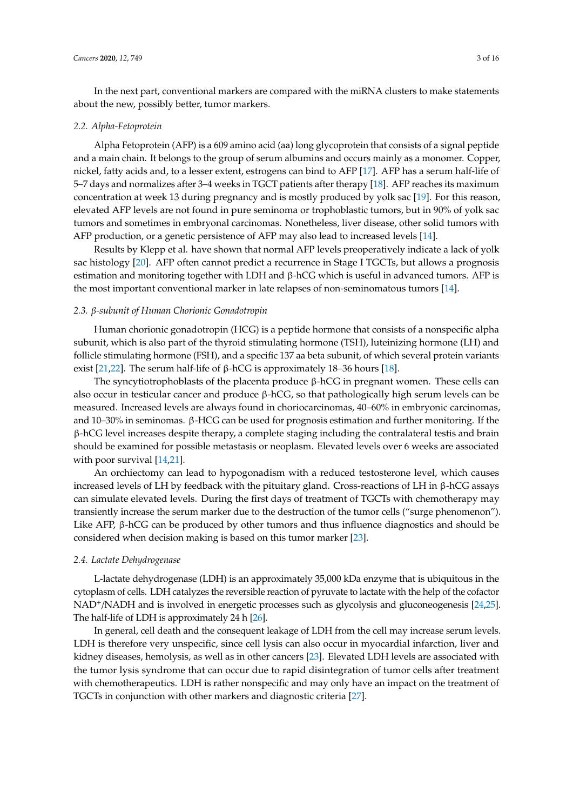In the next part, conventional markers are compared with the miRNA clusters to make statements about the new, possibly better, tumor markers.

#### *2.2. Alpha-Fetoprotein*

Alpha Fetoprotein (AFP) is a 609 amino acid (aa) long glycoprotein that consists of a signal peptide and a main chain. It belongs to the group of serum albumins and occurs mainly as a monomer. Copper, nickel, fatty acids and, to a lesser extent, estrogens can bind to AFP [\[17\]](#page-11-2). AFP has a serum half-life of 5–7 days and normalizes after 3–4 weeks in TGCT patients after therapy [\[18\]](#page-11-3). AFP reaches its maximum concentration at week 13 during pregnancy and is mostly produced by yolk sac [\[19\]](#page-11-4). For this reason, elevated AFP levels are not found in pure seminoma or trophoblastic tumors, but in 90% of yolk sac tumors and sometimes in embryonal carcinomas. Nonetheless, liver disease, other solid tumors with AFP production, or a genetic persistence of AFP may also lead to increased levels [\[14\]](#page-10-12).

Results by Klepp et al. have shown that normal AFP levels preoperatively indicate a lack of yolk sac histology [\[20\]](#page-11-5). AFP often cannot predict a recurrence in Stage I TGCTs, but allows a prognosis estimation and monitoring together with LDH and  $β$ -hCG which is useful in advanced tumors. AFP is the most important conventional marker in late relapses of non-seminomatous tumors [\[14\]](#page-10-12).

#### *2.3.* β*-subunit of Human Chorionic Gonadotropin*

Human chorionic gonadotropin (HCG) is a peptide hormone that consists of a nonspecific alpha subunit, which is also part of the thyroid stimulating hormone (TSH), luteinizing hormone (LH) and follicle stimulating hormone (FSH), and a specific 137 aa beta subunit, of which several protein variants exist [\[21,](#page-11-6)[22\]](#page-11-7). The serum half-life of β-hCG is approximately 18–36 hours [\[18\]](#page-11-3).

The syncytiotrophoblasts of the placenta produce  $β$ -hCG in pregnant women. These cells can also occur in testicular cancer and produce β-hCG, so that pathologically high serum levels can be measured. Increased levels are always found in choriocarcinomas, 40–60% in embryonic carcinomas, and 10–30% in seminomas. β-HCG can be used for prognosis estimation and further monitoring. If the β-hCG level increases despite therapy, a complete staging including the contralateral testis and brain should be examined for possible metastasis or neoplasm. Elevated levels over 6 weeks are associated with poor survival [\[14,](#page-10-12)[21\]](#page-11-6).

An orchiectomy can lead to hypogonadism with a reduced testosterone level, which causes increased levels of LH by feedback with the pituitary gland. Cross-reactions of LH in β-hCG assays can simulate elevated levels. During the first days of treatment of TGCTs with chemotherapy may transiently increase the serum marker due to the destruction of the tumor cells ("surge phenomenon"). Like AFP, β-hCG can be produced by other tumors and thus influence diagnostics and should be considered when decision making is based on this tumor marker [\[23\]](#page-11-8).

#### *2.4. Lactate Dehydrogenase*

L-lactate dehydrogenase (LDH) is an approximately 35,000 kDa enzyme that is ubiquitous in the cytoplasm of cells. LDH catalyzes the reversible reaction of pyruvate to lactate with the help of the cofactor NAD<sup>+</sup>/NADH and is involved in energetic processes such as glycolysis and gluconeogenesis [\[24](#page-11-9)[,25\]](#page-11-10). The half-life of LDH is approximately 24 h [\[26\]](#page-11-11).

In general, cell death and the consequent leakage of LDH from the cell may increase serum levels. LDH is therefore very unspecific, since cell lysis can also occur in myocardial infarction, liver and kidney diseases, hemolysis, as well as in other cancers [\[23\]](#page-11-8). Elevated LDH levels are associated with the tumor lysis syndrome that can occur due to rapid disintegration of tumor cells after treatment with chemotherapeutics. LDH is rather nonspecific and may only have an impact on the treatment of TGCTs in conjunction with other markers and diagnostic criteria [\[27\]](#page-11-12).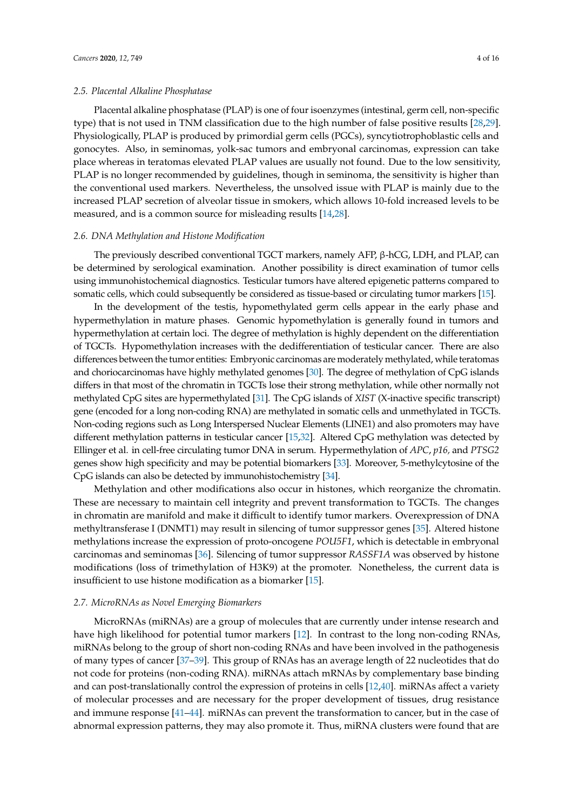#### *2.5. Placental Alkaline Phosphatase*

Placental alkaline phosphatase (PLAP) is one of four isoenzymes (intestinal, germ cell, non-specific type) that is not used in TNM classification due to the high number of false positive results [\[28,](#page-11-13)[29\]](#page-11-14). Physiologically, PLAP is produced by primordial germ cells (PGCs), syncytiotrophoblastic cells and gonocytes. Also, in seminomas, yolk-sac tumors and embryonal carcinomas, expression can take place whereas in teratomas elevated PLAP values are usually not found. Due to the low sensitivity, PLAP is no longer recommended by guidelines, though in seminoma, the sensitivity is higher than the conventional used markers. Nevertheless, the unsolved issue with PLAP is mainly due to the increased PLAP secretion of alveolar tissue in smokers, which allows 10-fold increased levels to be measured, and is a common source for misleading results [\[14,](#page-10-12)[28\]](#page-11-13).

#### *2.6. DNA Methylation and Histone Modification*

The previously described conventional TGCT markers, namely AFP, β-hCG, LDH, and PLAP, can be determined by serological examination. Another possibility is direct examination of tumor cells using immunohistochemical diagnostics. Testicular tumors have altered epigenetic patterns compared to somatic cells, which could subsequently be considered as tissue-based or circulating tumor markers [\[15\]](#page-11-0).

In the development of the testis, hypomethylated germ cells appear in the early phase and hypermethylation in mature phases. Genomic hypomethylation is generally found in tumors and hypermethylation at certain loci. The degree of methylation is highly dependent on the differentiation of TGCTs. Hypomethylation increases with the dedifferentiation of testicular cancer. There are also differences between the tumor entities: Embryonic carcinomas are moderately methylated, while teratomas and choriocarcinomas have highly methylated genomes [\[30\]](#page-11-15). The degree of methylation of CpG islands differs in that most of the chromatin in TGCTs lose their strong methylation, while other normally not methylated CpG sites are hypermethylated [\[31\]](#page-11-16). The CpG islands of *XIST* (X-inactive specific transcript) gene (encoded for a long non-coding RNA) are methylated in somatic cells and unmethylated in TGCTs. Non-coding regions such as Long Interspersed Nuclear Elements (LINE1) and also promoters may have different methylation patterns in testicular cancer [\[15,](#page-11-0)[32\]](#page-11-17). Altered CpG methylation was detected by Ellinger et al. in cell-free circulating tumor DNA in serum. Hypermethylation of *APC*, *p16,* and *PTSG2* genes show high specificity and may be potential biomarkers [\[33\]](#page-11-18). Moreover, 5-methylcytosine of the CpG islands can also be detected by immunohistochemistry [\[34\]](#page-11-19).

Methylation and other modifications also occur in histones, which reorganize the chromatin. These are necessary to maintain cell integrity and prevent transformation to TGCTs. The changes in chromatin are manifold and make it difficult to identify tumor markers. Overexpression of DNA methyltransferase I (DNMT1) may result in silencing of tumor suppressor genes [\[35\]](#page-11-20). Altered histone methylations increase the expression of proto-oncogene *POU5F1*, which is detectable in embryonal carcinomas and seminomas [\[36\]](#page-11-21). Silencing of tumor suppressor *RASSF1A* was observed by histone modifications (loss of trimethylation of H3K9) at the promoter. Nonetheless, the current data is insufficient to use histone modification as a biomarker [\[15\]](#page-11-0).

#### *2.7. MicroRNAs as Novel Emerging Biomarkers*

MicroRNAs (miRNAs) are a group of molecules that are currently under intense research and have high likelihood for potential tumor markers [\[12\]](#page-10-10). In contrast to the long non-coding RNAs, miRNAs belong to the group of short non-coding RNAs and have been involved in the pathogenesis of many types of cancer [\[37–](#page-12-0)[39\]](#page-12-1). This group of RNAs has an average length of 22 nucleotides that do not code for proteins (non-coding RNA). miRNAs attach mRNAs by complementary base binding and can post-translationally control the expression of proteins in cells [\[12](#page-10-10)[,40\]](#page-12-2). miRNAs affect a variety of molecular processes and are necessary for the proper development of tissues, drug resistance and immune response [\[41–](#page-12-3)[44\]](#page-12-4). miRNAs can prevent the transformation to cancer, but in the case of abnormal expression patterns, they may also promote it. Thus, miRNA clusters were found that are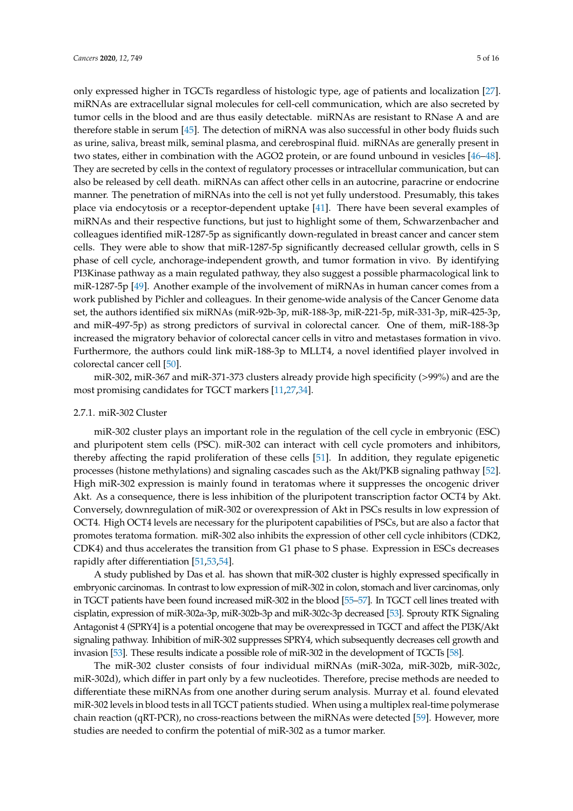only expressed higher in TGCTs regardless of histologic type, age of patients and localization [\[27\]](#page-11-12). miRNAs are extracellular signal molecules for cell-cell communication, which are also secreted by tumor cells in the blood and are thus easily detectable. miRNAs are resistant to RNase A and are therefore stable in serum [\[45\]](#page-12-5). The detection of miRNA was also successful in other body fluids such as urine, saliva, breast milk, seminal plasma, and cerebrospinal fluid. miRNAs are generally present in two states, either in combination with the AGO2 protein, or are found unbound in vesicles [\[46–](#page-12-6)[48\]](#page-12-7). They are secreted by cells in the context of regulatory processes or intracellular communication, but can also be released by cell death. miRNAs can affect other cells in an autocrine, paracrine or endocrine manner. The penetration of miRNAs into the cell is not yet fully understood. Presumably, this takes place via endocytosis or a receptor-dependent uptake [\[41\]](#page-12-3). There have been several examples of miRNAs and their respective functions, but just to highlight some of them, Schwarzenbacher and colleagues identified miR-1287-5p as significantly down-regulated in breast cancer and cancer stem cells. They were able to show that miR-1287-5p significantly decreased cellular growth, cells in S phase of cell cycle, anchorage-independent growth, and tumor formation in vivo. By identifying PI3Kinase pathway as a main regulated pathway, they also suggest a possible pharmacological link to miR-1287-5p [\[49\]](#page-12-8). Another example of the involvement of miRNAs in human cancer comes from a work published by Pichler and colleagues. In their genome-wide analysis of the Cancer Genome data set, the authors identified six miRNAs (miR-92b-3p, miR-188-3p, miR-221-5p, miR-331-3p, miR-425-3p, and miR-497-5p) as strong predictors of survival in colorectal cancer. One of them, miR-188-3p increased the migratory behavior of colorectal cancer cells in vitro and metastases formation in vivo. Furthermore, the authors could link miR-188-3p to MLLT4, a novel identified player involved in colorectal cancer cell [\[50\]](#page-12-9).

miR-302, miR-367 and miR-371-373 clusters already provide high specificity (>99%) and are the most promising candidates for TGCT markers [\[11,](#page-10-9)[27,](#page-11-12)[34\]](#page-11-19).

#### 2.7.1. miR-302 Cluster

miR-302 cluster plays an important role in the regulation of the cell cycle in embryonic (ESC) and pluripotent stem cells (PSC). miR-302 can interact with cell cycle promoters and inhibitors, thereby affecting the rapid proliferation of these cells [\[51\]](#page-12-10). In addition, they regulate epigenetic processes (histone methylations) and signaling cascades such as the Akt/PKB signaling pathway [\[52\]](#page-12-11). High miR-302 expression is mainly found in teratomas where it suppresses the oncogenic driver Akt. As a consequence, there is less inhibition of the pluripotent transcription factor OCT4 by Akt. Conversely, downregulation of miR-302 or overexpression of Akt in PSCs results in low expression of OCT4. High OCT4 levels are necessary for the pluripotent capabilities of PSCs, but are also a factor that promotes teratoma formation. miR-302 also inhibits the expression of other cell cycle inhibitors (CDK2, CDK4) and thus accelerates the transition from G1 phase to S phase. Expression in ESCs decreases rapidly after differentiation [\[51,](#page-12-10)[53](#page-12-12)[,54\]](#page-12-13).

A study published by Das et al. has shown that miR-302 cluster is highly expressed specifically in embryonic carcinomas. In contrast to low expression of miR-302 in colon, stomach and liver carcinomas, only in TGCT patients have been found increased miR-302 in the blood [\[55–](#page-12-14)[57\]](#page-13-0). In TGCT cell lines treated with cisplatin, expression of miR-302a-3p, miR-302b-3p and miR-302c-3p decreased [\[53\]](#page-12-12). Sprouty RTK Signaling Antagonist 4 (SPRY4] is a potential oncogene that may be overexpressed in TGCT and affect the PI3K/Akt signaling pathway. Inhibition of miR-302 suppresses SPRY4, which subsequently decreases cell growth and invasion [\[53\]](#page-12-12). These results indicate a possible role of miR-302 in the development of TGCTs [\[58\]](#page-13-1).

The miR-302 cluster consists of four individual miRNAs (miR-302a, miR-302b, miR-302c, miR-302d), which differ in part only by a few nucleotides. Therefore, precise methods are needed to differentiate these miRNAs from one another during serum analysis. Murray et al. found elevated miR-302 levels in blood tests in all TGCT patients studied. When using a multiplex real-time polymerase chain reaction (qRT-PCR), no cross-reactions between the miRNAs were detected [\[59\]](#page-13-2). However, more studies are needed to confirm the potential of miR-302 as a tumor marker.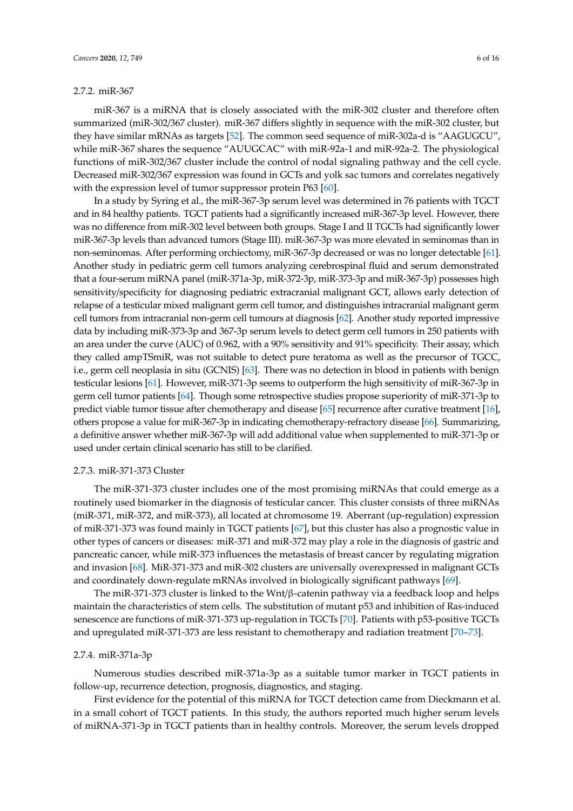#### 2.7.2. miR-367

miR-367 is a miRNA that is closely associated with the miR-302 cluster and therefore often summarized (miR-302/367 cluster). miR-367 differs slightly in sequence with the miR-302 cluster, but they have similar mRNAs as targets [\[52\]](#page-12-11). The common seed sequence of miR-302a-d is "AAGUGCU", while miR-367 shares the sequence "AUUGCAC" with miR-92a-1 and miR-92a-2. The physiological functions of miR-302/367 cluster include the control of nodal signaling pathway and the cell cycle. Decreased miR-302/367 expression was found in GCTs and yolk sac tumors and correlates negatively with the expression level of tumor suppressor protein P63 [\[60\]](#page-13-3).

In a study by Syring et al., the miR-367-3p serum level was determined in 76 patients with TGCT and in 84 healthy patients. TGCT patients had a significantly increased miR-367-3p level. However, there was no difference from miR-302 level between both groups. Stage I and II TGCTs had significantly lower miR-367-3p levels than advanced tumors (Stage III). miR-367-3p was more elevated in seminomas than in non-seminomas. After performing orchiectomy, miR-367-3p decreased or was no longer detectable [\[61\]](#page-13-4). Another study in pediatric germ cell tumors analyzing cerebrospinal fluid and serum demonstrated that a four-serum miRNA panel (miR-371a-3p, miR-372-3p, miR-373-3p and miR-367-3p) possesses high sensitivity/specificity for diagnosing pediatric extracranial malignant GCT, allows early detection of relapse of a testicular mixed malignant germ cell tumor, and distinguishes intracranial malignant germ cell tumors from intracranial non-germ cell tumours at diagnosis [\[62\]](#page-13-5). Another study reported impressive data by including miR-373-3p and 367-3p serum levels to detect germ cell tumors in 250 patients with an area under the curve (AUC) of 0.962, with a 90% sensitivity and 91% specificity. Their assay, which they called ampTSmiR, was not suitable to detect pure teratoma as well as the precursor of TGCC, i.e., germ cell neoplasia in situ (GCNIS) [\[63\]](#page-13-6). There was no detection in blood in patients with benign testicular lesions [\[61\]](#page-13-4). However, miR-371-3p seems to outperform the high sensitivity of miR-367-3p in germ cell tumor patients [\[64\]](#page-13-7). Though some retrospective studies propose superiority of miR-371-3p to predict viable tumor tissue after chemotherapy and disease [\[65\]](#page-13-8) recurrence after curative treatment [\[16\]](#page-11-1), others propose a value for miR-367-3p in indicating chemotherapy-refractory disease [\[66\]](#page-13-9). Summarizing, a definitive answer whether miR-367-3p will add additional value when supplemented to miR-371-3p or used under certain clinical scenario has still to be clarified.

#### 2.7.3. miR-371-373 Cluster

The miR-371-373 cluster includes one of the most promising miRNAs that could emerge as a routinely used biomarker in the diagnosis of testicular cancer. This cluster consists of three miRNAs (miR-371, miR-372, and miR-373), all located at chromosome 19. Aberrant (up-regulation) expression of miR-371-373 was found mainly in TGCT patients [\[67\]](#page-13-10), but this cluster has also a prognostic value in other types of cancers or diseases: miR-371 and miR-372 may play a role in the diagnosis of gastric and pancreatic cancer, while miR-373 influences the metastasis of breast cancer by regulating migration and invasion [\[68\]](#page-13-11). MiR-371-373 and miR-302 clusters are universally overexpressed in malignant GCTs and coordinately down-regulate mRNAs involved in biologically significant pathways [\[69\]](#page-13-12).

The miR-371-373 cluster is linked to the Wnt/β-catenin pathway via a feedback loop and helps maintain the characteristics of stem cells. The substitution of mutant p53 and inhibition of Ras-induced senescence are functions of miR-371-373 up-regulation in TGCTs [\[70\]](#page-13-13). Patients with p53-positive TGCTs and upregulated miR-371-373 are less resistant to chemotherapy and radiation treatment [\[70–](#page-13-13)[73\]](#page-13-14).

#### 2.7.4. miR-371a-3p

Numerous studies described miR-371a-3p as a suitable tumor marker in TGCT patients in follow-up, recurrence detection, prognosis, diagnostics, and staging.

First evidence for the potential of this miRNA for TGCT detection came from Dieckmann et al. in a small cohort of TGCT patients. In this study, the authors reported much higher serum levels of miRNA-371-3p in TGCT patients than in healthy controls. Moreover, the serum levels dropped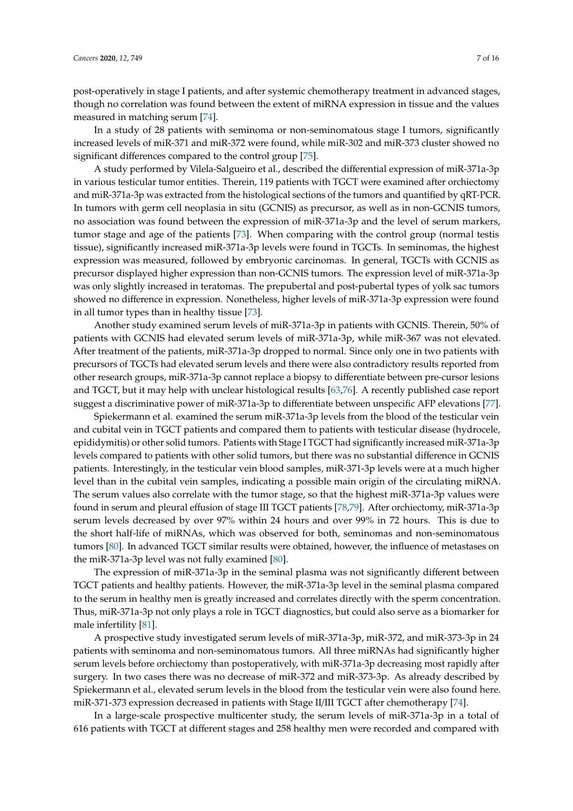post-operatively in stage I patients, and after systemic chemotherapy treatment in advanced stages, though no correlation was found between the extent of miRNA expression in tissue and the values measured in matching serum [\[74\]](#page-13-15).

In a study of 28 patients with seminoma or non-seminomatous stage I tumors, significantly increased levels of miR-371 and miR-372 were found, while miR-302 and miR-373 cluster showed no significant differences compared to the control group [\[75\]](#page-14-0).

A study performed by Vilela-Salgueiro et al., described the differential expression of miR-371a-3p in various testicular tumor entities. Therein, 119 patients with TGCT were examined after orchiectomy and miR-371a-3p was extracted from the histological sections of the tumors and quantified by qRT-PCR. In tumors with germ cell neoplasia in situ (GCNIS) as precursor, as well as in non-GCNIS tumors, no association was found between the expression of miR-371a-3p and the level of serum markers, tumor stage and age of the patients [\[73\]](#page-13-14). When comparing with the control group (normal testis tissue), significantly increased miR-371a-3p levels were found in TGCTs. In seminomas, the highest expression was measured, followed by embryonic carcinomas. In general, TGCTs with GCNIS as precursor displayed higher expression than non-GCNIS tumors. The expression level of miR-371a-3p was only slightly increased in teratomas. The prepubertal and post-pubertal types of yolk sac tumors showed no difference in expression. Nonetheless, higher levels of miR-371a-3p expression were found in all tumor types than in healthy tissue [\[73\]](#page-13-14).

Another study examined serum levels of miR-371a-3p in patients with GCNIS. Therein, 50% of patients with GCNIS had elevated serum levels of miR-371a-3p, while miR-367 was not elevated. After treatment of the patients, miR-371a-3p dropped to normal. Since only one in two patients with precursors of TGCTs had elevated serum levels and there were also contradictory results reported from other research groups, miR-371a-3p cannot replace a biopsy to differentiate between pre-cursor lesions and TGCT, but it may help with unclear histological results [\[63](#page-13-6)[,76\]](#page-14-1). A recently published case report suggest a discriminative power of miR-371a-3p to differentiate between unspecific AFP elevations [\[77\]](#page-14-2).

Spiekermann et al. examined the serum miR-371a-3p levels from the blood of the testicular vein and cubital vein in TGCT patients and compared them to patients with testicular disease (hydrocele, epididymitis) or other solid tumors. Patients with Stage I TGCT had significantly increased miR-371a-3p levels compared to patients with other solid tumors, but there was no substantial difference in GCNIS patients. Interestingly, in the testicular vein blood samples, miR-371-3p levels were at a much higher level than in the cubital vein samples, indicating a possible main origin of the circulating miRNA. The serum values also correlate with the tumor stage, so that the highest miR-371a-3p values were found in serum and pleural effusion of stage III TGCT patients [\[78,](#page-14-3)[79\]](#page-14-4). After orchiectomy, miR-371a-3p serum levels decreased by over 97% within 24 hours and over 99% in 72 hours. This is due to the short half-life of miRNAs, which was observed for both, seminomas and non-seminomatous tumors [\[80\]](#page-14-5). In advanced TGCT similar results were obtained, however, the influence of metastases on the miR-371a-3p level was not fully examined [\[80\]](#page-14-5).

The expression of miR-371a-3p in the seminal plasma was not significantly different between TGCT patients and healthy patients. However, the miR-371a-3p level in the seminal plasma compared to the serum in healthy men is greatly increased and correlates directly with the sperm concentration. Thus, miR-371a-3p not only plays a role in TGCT diagnostics, but could also serve as a biomarker for male infertility [\[81\]](#page-14-6).

A prospective study investigated serum levels of miR-371a-3p, miR-372, and miR-373-3p in 24 patients with seminoma and non-seminomatous tumors. All three miRNAs had significantly higher serum levels before orchiectomy than postoperatively, with miR-371a-3p decreasing most rapidly after surgery. In two cases there was no decrease of miR-372 and miR-373-3p. As already described by Spiekermann et al., elevated serum levels in the blood from the testicular vein were also found here. miR-371-373 expression decreased in patients with Stage II/III TGCT after chemotherapy [\[74\]](#page-13-15).

In a large-scale prospective multicenter study, the serum levels of miR-371a-3p in a total of 616 patients with TGCT at different stages and 258 healthy men were recorded and compared with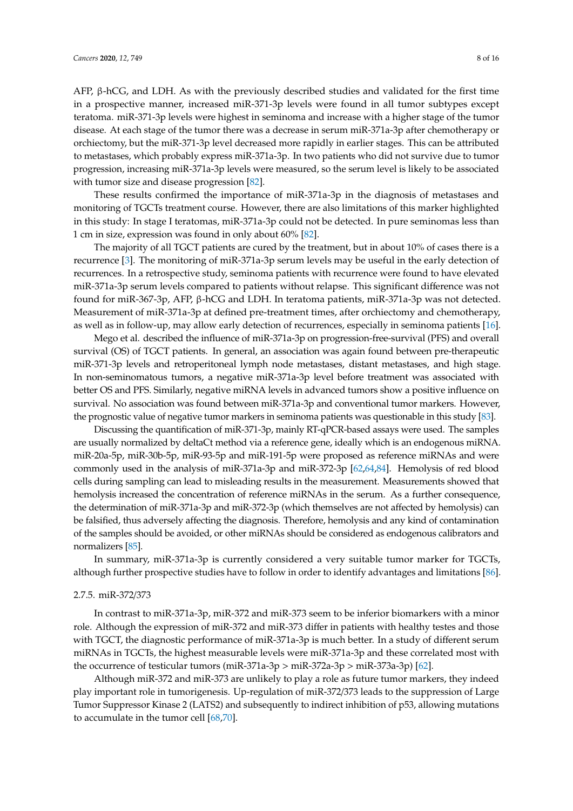AFP, β-hCG, and LDH. As with the previously described studies and validated for the first time in a prospective manner, increased miR-371-3p levels were found in all tumor subtypes except teratoma. miR-371-3p levels were highest in seminoma and increase with a higher stage of the tumor disease. At each stage of the tumor there was a decrease in serum miR-371a-3p after chemotherapy or orchiectomy, but the miR-371-3p level decreased more rapidly in earlier stages. This can be attributed to metastases, which probably express miR-371a-3p. In two patients who did not survive due to tumor progression, increasing miR-371a-3p levels were measured, so the serum level is likely to be associated with tumor size and disease progression [\[82\]](#page-14-7).

These results confirmed the importance of miR-371a-3p in the diagnosis of metastases and monitoring of TGCTs treatment course. However, there are also limitations of this marker highlighted in this study: In stage I teratomas, miR-371a-3p could not be detected. In pure seminomas less than 1 cm in size, expression was found in only about 60% [\[82\]](#page-14-7).

The majority of all TGCT patients are cured by the treatment, but in about 10% of cases there is a recurrence [\[3\]](#page-10-2). The monitoring of miR-371a-3p serum levels may be useful in the early detection of recurrences. In a retrospective study, seminoma patients with recurrence were found to have elevated miR-371a-3p serum levels compared to patients without relapse. This significant difference was not found for miR-367-3p, AFP, β-hCG and LDH. In teratoma patients, miR-371a-3p was not detected. Measurement of miR-371a-3p at defined pre-treatment times, after orchiectomy and chemotherapy, as well as in follow-up, may allow early detection of recurrences, especially in seminoma patients [\[16\]](#page-11-1).

Mego et al. described the influence of miR-371a-3p on progression-free-survival (PFS) and overall survival (OS) of TGCT patients. In general, an association was again found between pre-therapeutic miR-371-3p levels and retroperitoneal lymph node metastases, distant metastases, and high stage. In non-seminomatous tumors, a negative miR-371a-3p level before treatment was associated with better OS and PFS. Similarly, negative miRNA levels in advanced tumors show a positive influence on survival. No association was found between miR-371a-3p and conventional tumor markers. However, the prognostic value of negative tumor markers in seminoma patients was questionable in this study [\[83\]](#page-14-8).

Discussing the quantification of miR-371-3p, mainly RT-qPCR-based assays were used. The samples are usually normalized by deltaCt method via a reference gene, ideally which is an endogenous miRNA. miR-20a-5p, miR-30b-5p, miR-93-5p and miR-191-5p were proposed as reference miRNAs and were commonly used in the analysis of miR-371a-3p and miR-372-3p [\[62](#page-13-5)[,64](#page-13-7)[,84\]](#page-14-9). Hemolysis of red blood cells during sampling can lead to misleading results in the measurement. Measurements showed that hemolysis increased the concentration of reference miRNAs in the serum. As a further consequence, the determination of miR-371a-3p and miR-372-3p (which themselves are not affected by hemolysis) can be falsified, thus adversely affecting the diagnosis. Therefore, hemolysis and any kind of contamination of the samples should be avoided, or other miRNAs should be considered as endogenous calibrators and normalizers [\[85\]](#page-14-10).

In summary, miR-371a-3p is currently considered a very suitable tumor marker for TGCTs, although further prospective studies have to follow in order to identify advantages and limitations [\[86\]](#page-14-11).

#### 2.7.5. miR-372/373

In contrast to miR-371a-3p, miR-372 and miR-373 seem to be inferior biomarkers with a minor role. Although the expression of miR-372 and miR-373 differ in patients with healthy testes and those with TGCT, the diagnostic performance of miR-371a-3p is much better. In a study of different serum miRNAs in TGCTs, the highest measurable levels were miR-371a-3p and these correlated most with the occurrence of testicular tumors (miR-371a-3p > miR-372a-3p > miR-373a-3p) [\[62\]](#page-13-5).

Although miR-372 and miR-373 are unlikely to play a role as future tumor markers, they indeed play important role in tumorigenesis. Up-regulation of miR-372/373 leads to the suppression of Large Tumor Suppressor Kinase 2 (LATS2) and subsequently to indirect inhibition of p53, allowing mutations to accumulate in the tumor cell [\[68](#page-13-11)[,70\]](#page-13-13).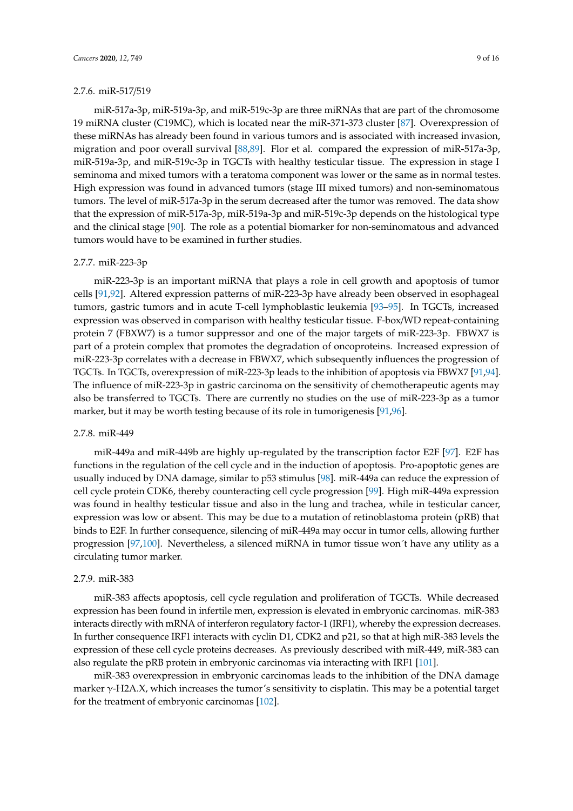miR-517a-3p, miR-519a-3p, and miR-519c-3p are three miRNAs that are part of the chromosome 19 miRNA cluster (C19MC), which is located near the miR-371-373 cluster [\[87\]](#page-14-12). Overexpression of these miRNAs has already been found in various tumors and is associated with increased invasion, migration and poor overall survival [\[88](#page-14-13)[,89\]](#page-14-14). Flor et al. compared the expression of miR-517a-3p, miR-519a-3p, and miR-519c-3p in TGCTs with healthy testicular tissue. The expression in stage I seminoma and mixed tumors with a teratoma component was lower or the same as in normal testes. High expression was found in advanced tumors (stage III mixed tumors) and non-seminomatous tumors. The level of miR-517a-3p in the serum decreased after the tumor was removed. The data show that the expression of miR-517a-3p, miR-519a-3p and miR-519c-3p depends on the histological type and the clinical stage [\[90\]](#page-14-15). The role as a potential biomarker for non-seminomatous and advanced tumors would have to be examined in further studies.

#### 2.7.7. miR-223-3p

miR-223-3p is an important miRNA that plays a role in cell growth and apoptosis of tumor cells [\[91,](#page-14-16)[92\]](#page-15-0). Altered expression patterns of miR-223-3p have already been observed in esophageal tumors, gastric tumors and in acute T-cell lymphoblastic leukemia [\[93–](#page-15-1)[95\]](#page-15-2). In TGCTs, increased expression was observed in comparison with healthy testicular tissue. F-box/WD repeat-containing protein 7 (FBXW7) is a tumor suppressor and one of the major targets of miR-223-3p. FBWX7 is part of a protein complex that promotes the degradation of oncoproteins. Increased expression of miR-223-3p correlates with a decrease in FBWX7, which subsequently influences the progression of TGCTs. In TGCTs, overexpression of miR-223-3p leads to the inhibition of apoptosis via FBWX7 [\[91](#page-14-16)[,94\]](#page-15-3). The influence of miR-223-3p in gastric carcinoma on the sensitivity of chemotherapeutic agents may also be transferred to TGCTs. There are currently no studies on the use of miR-223-3p as a tumor marker, but it may be worth testing because of its role in tumorigenesis [\[91](#page-14-16)[,96\]](#page-15-4).

#### 2.7.8. miR-449

miR-449a and miR-449b are highly up-regulated by the transcription factor E2F [\[97\]](#page-15-5). E2F has functions in the regulation of the cell cycle and in the induction of apoptosis. Pro-apoptotic genes are usually induced by DNA damage, similar to p53 stimulus [\[98\]](#page-15-6). miR-449a can reduce the expression of cell cycle protein CDK6, thereby counteracting cell cycle progression [\[99\]](#page-15-7). High miR-449a expression was found in healthy testicular tissue and also in the lung and trachea, while in testicular cancer, expression was low or absent. This may be due to a mutation of retinoblastoma protein (pRB) that binds to E2F. In further consequence, silencing of miR-449a may occur in tumor cells, allowing further progression [\[97,](#page-15-5)[100\]](#page-15-8). Nevertheless, a silenced miRNA in tumor tissue won´t have any utility as a circulating tumor marker.

#### 2.7.9. miR-383

miR-383 affects apoptosis, cell cycle regulation and proliferation of TGCTs. While decreased expression has been found in infertile men, expression is elevated in embryonic carcinomas. miR-383 interacts directly with mRNA of interferon regulatory factor-1 (IRF1), whereby the expression decreases. In further consequence IRF1 interacts with cyclin D1, CDK2 and p21, so that at high miR-383 levels the expression of these cell cycle proteins decreases. As previously described with miR-449, miR-383 can also regulate the pRB protein in embryonic carcinomas via interacting with IRF1 [\[101\]](#page-15-9).

miR-383 overexpression in embryonic carcinomas leads to the inhibition of the DNA damage marker  $\gamma$ -H2A.X, which increases the tumor's sensitivity to cisplatin. This may be a potential target for the treatment of embryonic carcinomas [\[102\]](#page-15-10).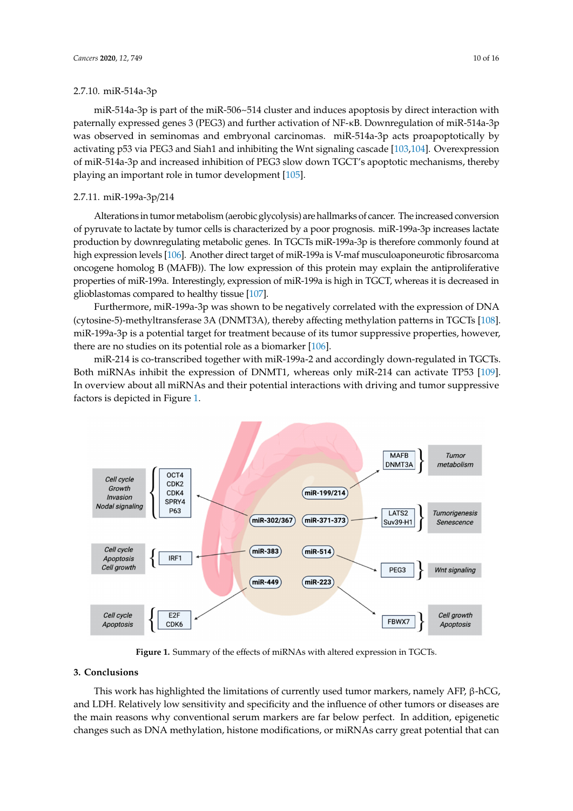2.7.10. miR-514a-3p

miR-514a-3p is part of the miR-506~514 cluster and induces apoptosis by direct interaction with paternally expressed genes 3 (PEG3) and further activation of NF-κB. Downregulation of miR-514a-3p was observed in seminomas and embryonal carcinomas. miR-514a-3p acts proapoptotically by activating p53 via PEG3 and Siah1 and inhibiting the Wnt signaling cascade [\[103,](#page-15-11)[104\]](#page-15-12). Overexpression of miR-514a-3p and increased inhibition of PEG3 slow down TGCT's apoptotic mechanisms, thereby playing an important role in tumor development [\[105\]](#page-15-13).

## 2.7.11. miR-199a-3p/214 2.7.11. miR-199a-3p/214

Alterations in tumormetabolism (aerobic glycolysis) are hallmarks of cancer. The increased conversion Alterations in tumor metabolism (aerobic glycolysis) are hallmarks of cancer. The increased of pyruvate to lactate by tumor cells is characterized by a poor prognosis. miR-199a-3p increases lactate production by downregulating metabolic genes. In TGCTs miR-199a-3p is therefore commonly found at high expression levels [\[106\]](#page-15-14). Another direct target of miR-199a is V-maf musculoaponeurotic fibrosarcoma oncogene homolog B (MAFB)). The low expression of this protein may explain the antiproliferative properties of miR-199a. Interestingly, expression of miR-199a is high in TGCT, whereas it is decreased in glioblastomas compared to healthy tissue [ $107$ ].

Furthermore, miR-199a-3p was shown to be negatively correlated with the expression of DNA (cytosine-5)-methyltransferase 3A (DNMT3A), thereby affecting methylation patterns in TGCTs [\[108\]](#page-15-16). (cytosine-5)-methyltransferase 3A (DNMT3A), thereby affecting methylation patterns in TGCTs miR-199a-3p is a potential target for treatment because of its tumor suppressive properties, however, there are no studies on its potential role as a biomarker [\[106\]](#page-15-14).

miR-214 is co-transcribed together with miR-199a-2 and accordingly down-regulated in TGCTs. miR-214 is co-transcribed together with miR-199a-2 and accordingly down-regulated in TGCTs. Both miRNAs inhibit the expression of DNMT1, whereas only miR-214 can activate TP53 [\[109\]](#page-15-17). In overview about all miRNAs and their potential interactions with driving and tumor suppressive factors is depicted in Figure [1.](#page-9-0) factors is depicted in Figure 1.

<span id="page-9-0"></span>

**Figure 1.** Summary of the effects of miRNAs with altered expression in TGCTs.

#### **Figure 1.** Summary of the effects of miRNAs with altered expression in TGCTs. **3. Conclusions**

**3. Conclusions**  This work has highlighted the limitations of currently used tumor markers, namely AFP, β-hCG, and LDH. Relatively low sensitivity and specificity and the influence of other tumors or diseases are the main reasons why conventional serum markers are far below perfect. In addition, epigenetic changes such as DNA methylation, histone modifications, or miRNAs carry great potential that can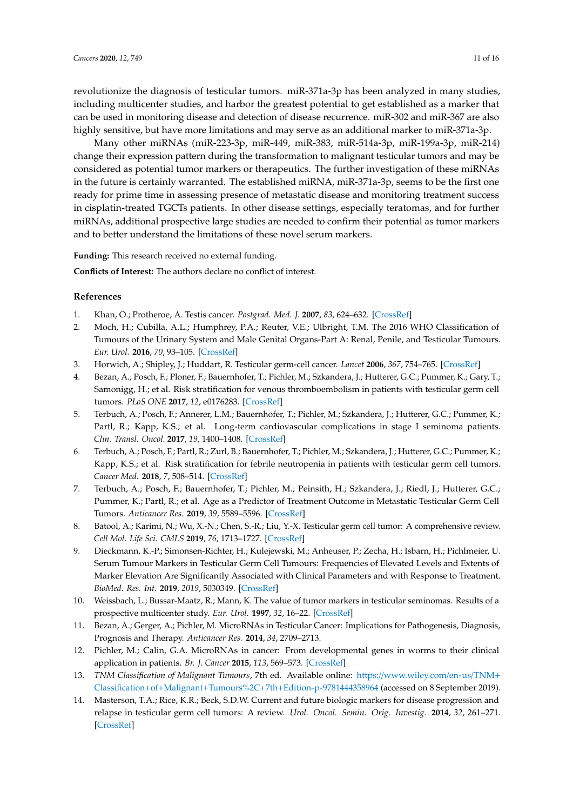revolutionize the diagnosis of testicular tumors. miR-371a-3p has been analyzed in many studies, including multicenter studies, and harbor the greatest potential to get established as a marker that can be used in monitoring disease and detection of disease recurrence. miR-302 and miR-367 are also highly sensitive, but have more limitations and may serve as an additional marker to miR-371a-3p.

Many other miRNAs (miR-223-3p, miR-449, miR-383, miR-514a-3p, miR-199a-3p, miR-214) change their expression pattern during the transformation to malignant testicular tumors and may be considered as potential tumor markers or therapeutics. The further investigation of these miRNAs in the future is certainly warranted. The established miRNA, miR-371a-3p, seems to be the first one ready for prime time in assessing presence of metastatic disease and monitoring treatment success in cisplatin-treated TGCTs patients. In other disease settings, especially teratomas, and for further miRNAs, additional prospective large studies are needed to confirm their potential as tumor markers and to better understand the limitations of these novel serum markers.

**Funding:** This research received no external funding.

**Conflicts of Interest:** The authors declare no conflict of interest.

#### **References**

- <span id="page-10-0"></span>1. Khan, O.; Protheroe, A. Testis cancer. *Postgrad. Med. J.* **2007**, *83*, 624–632. [\[CrossRef\]](http://dx.doi.org/10.1136/pgmj.2007.057992)
- <span id="page-10-1"></span>2. Moch, H.; Cubilla, A.L.; Humphrey, P.A.; Reuter, V.E.; Ulbright, T.M. The 2016 WHO Classification of Tumours of the Urinary System and Male Genital Organs-Part A: Renal, Penile, and Testicular Tumours. *Eur. Urol.* **2016**, *70*, 93–105. [\[CrossRef\]](http://dx.doi.org/10.1016/j.eururo.2016.02.029)
- <span id="page-10-2"></span>3. Horwich, A.; Shipley, J.; Huddart, R. Testicular germ-cell cancer. *Lancet* **2006**, *367*, 754–765. [\[CrossRef\]](http://dx.doi.org/10.1016/S0140-6736(06)68305-0)
- <span id="page-10-3"></span>4. Bezan, A.; Posch, F.; Ploner, F.; Bauernhofer, T.; Pichler, M.; Szkandera, J.; Hutterer, G.C.; Pummer, K.; Gary, T.; Samonigg, H.; et al. Risk stratification for venous thromboembolism in patients with testicular germ cell tumors. *PLoS ONE* **2017**, *12*, e0176283. [\[CrossRef\]](http://dx.doi.org/10.1371/journal.pone.0176283)
- 5. Terbuch, A.; Posch, F.; Annerer, L.M.; Bauernhofer, T.; Pichler, M.; Szkandera, J.; Hutterer, G.C.; Pummer, K.; Partl, R.; Kapp, K.S.; et al. Long-term cardiovascular complications in stage I seminoma patients. *Clin. Transl. Oncol.* **2017**, *19*, 1400–1408. [\[CrossRef\]](http://dx.doi.org/10.1007/s12094-017-1742-y)
- <span id="page-10-4"></span>6. Terbuch, A.; Posch, F.; Partl, R.; Zurl, B.; Bauernhofer, T.; Pichler, M.; Szkandera, J.; Hutterer, G.C.; Pummer, K.; Kapp, K.S.; et al. Risk stratification for febrile neutropenia in patients with testicular germ cell tumors. *Cancer Med.* **2018**, *7*, 508–514. [\[CrossRef\]](http://dx.doi.org/10.1002/cam4.1317)
- <span id="page-10-5"></span>7. Terbuch, A.; Posch, F.; Bauernhofer, T.; Pichler, M.; Peinsith, H.; Szkandera, J.; Riedl, J.; Hutterer, G.C.; Pummer, K.; Partl, R.; et al. Age as a Predictor of Treatment Outcome in Metastatic Testicular Germ Cell Tumors. *Anticancer Res.* **2019**, *39*, 5589–5596. [\[CrossRef\]](http://dx.doi.org/10.21873/anticanres.13753)
- <span id="page-10-6"></span>8. Batool, A.; Karimi, N.; Wu, X.-N.; Chen, S.-R.; Liu, Y.-X. Testicular germ cell tumor: A comprehensive review. *Cell Mol. Life Sci. CMLS* **2019**, *76*, 1713–1727. [\[CrossRef\]](http://dx.doi.org/10.1007/s00018-019-03022-7)
- <span id="page-10-7"></span>9. Dieckmann, K.-P.; Simonsen-Richter, H.; Kulejewski, M.; Anheuser, P.; Zecha, H.; Isbarn, H.; Pichlmeier, U. Serum Tumour Markers in Testicular Germ Cell Tumours: Frequencies of Elevated Levels and Extents of Marker Elevation Are Significantly Associated with Clinical Parameters and with Response to Treatment. *BioMed. Res. Int.* **2019**, *2019*, 5030349. [\[CrossRef\]](http://dx.doi.org/10.1155/2019/5030349)
- <span id="page-10-8"></span>10. Weissbach, L.; Bussar-Maatz, R.; Mann, K. The value of tumor markers in testicular seminomas. Results of a prospective multicenter study. *Eur. Urol.* **1997**, *32*, 16–22. [\[CrossRef\]](http://dx.doi.org/10.1159/000480875)
- <span id="page-10-9"></span>11. Bezan, A.; Gerger, A.; Pichler, M. MicroRNAs in Testicular Cancer: Implications for Pathogenesis, Diagnosis, Prognosis and Therapy. *Anticancer Res.* **2014**, *34*, 2709–2713.
- <span id="page-10-10"></span>12. Pichler, M.; Calin, G.A. MicroRNAs in cancer: From developmental genes in worms to their clinical application in patients. *Br. J. Cancer* **2015**, *113*, 569–573. [\[CrossRef\]](http://dx.doi.org/10.1038/bjc.2015.253)
- <span id="page-10-11"></span>13. *TNM Classification of Malignant Tumours*, 7th ed. Available online: https://[www.wiley.com](https://www.wiley.com/en-us/TNM+Classification+of+Malignant+Tumours%2C+7th+Edition-p-9781444358964)/en-us/TNM+ Classification+of+Malignant+Tumours%2C+7th+[Edition-p-9781444358964](https://www.wiley.com/en-us/TNM+Classification+of+Malignant+Tumours%2C+7th+Edition-p-9781444358964) (accessed on 8 September 2019).
- <span id="page-10-12"></span>14. Masterson, T.A.; Rice, K.R.; Beck, S.D.W. Current and future biologic markers for disease progression and relapse in testicular germ cell tumors: A review. *Urol. Oncol. Semin. Orig. Investig.* **2014**, *32*, 261–271. [\[CrossRef\]](http://dx.doi.org/10.1016/j.urolonc.2013.05.012)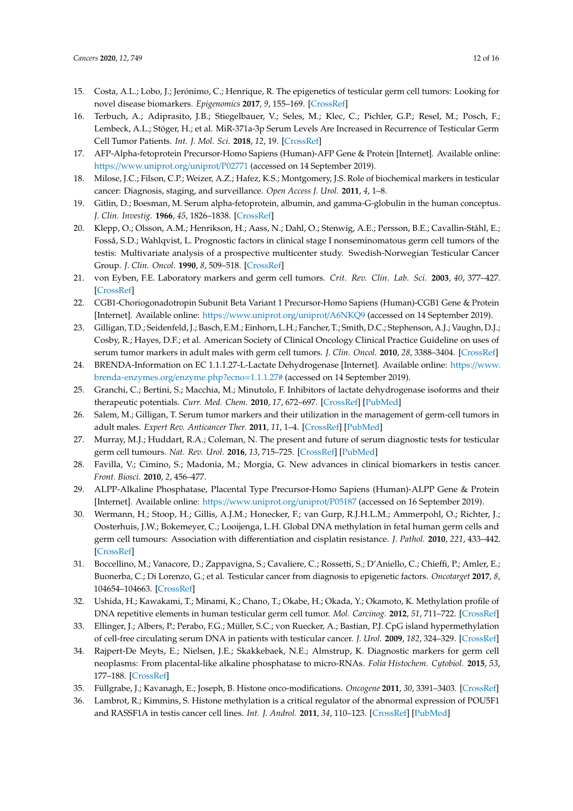- <span id="page-11-0"></span>15. Costa, A.L.; Lobo, J.; Jerónimo, C.; Henrique, R. The epigenetics of testicular germ cell tumors: Looking for novel disease biomarkers. *Epigenomics* **2017**, *9*, 155–169. [\[CrossRef\]](http://dx.doi.org/10.2217/epi-2016-0081)
- <span id="page-11-1"></span>16. Terbuch, A.; Adiprasito, J.B.; Stiegelbauer, V.; Seles, M.; Klec, C.; Pichler, G.P.; Resel, M.; Posch, F.; Lembeck, A.L.; Stöger, H.; et al. MiR-371a-3p Serum Levels Are Increased in Recurrence of Testicular Germ Cell Tumor Patients. *Int. J. Mol. Sci.* **2018**, *12*, 19. [\[CrossRef\]](http://dx.doi.org/10.3390/ijms19103130)
- <span id="page-11-2"></span>17. AFP-Alpha-fetoprotein Precursor-Homo Sapiens (Human)-AFP Gene & Protein [Internet]. Available online: https://[www.uniprot.org](https://www.uniprot.org/uniprot/P02771)/uniprot/P02771 (accessed on 14 September 2019).
- <span id="page-11-3"></span>18. Milose, J.C.; Filson, C.P.; Weizer, A.Z.; Hafez, K.S.; Montgomery, J.S. Role of biochemical markers in testicular cancer: Diagnosis, staging, and surveillance. *Open Access J. Urol.* **2011**, *4*, 1–8.
- <span id="page-11-4"></span>19. Gitlin, D.; Boesman, M. Serum alpha-fetoprotein, albumin, and gamma-G-globulin in the human conceptus. *J. Clin. Investig.* **1966**, *45*, 1826–1838. [\[CrossRef\]](http://dx.doi.org/10.1172/JCI105486)
- <span id="page-11-5"></span>20. Klepp, O.; Olsson, A.M.; Henrikson, H.; Aass, N.; Dahl, O.; Stenwig, A.E.; Persson, B.E.; Cavallin-Ståhl, E.; Fosså, S.D.; Wahlqvist, L. Prognostic factors in clinical stage I nonseminomatous germ cell tumors of the testis: Multivariate analysis of a prospective multicenter study. Swedish-Norwegian Testicular Cancer Group. *J. Clin. Oncol.* **1990**, *8*, 509–518. [\[CrossRef\]](http://dx.doi.org/10.1200/JCO.1990.8.3.509)
- <span id="page-11-6"></span>21. von Eyben, F.E. Laboratory markers and germ cell tumors. *Crit. Rev. Clin. Lab. Sci.* **2003**, *40*, 377–427. [\[CrossRef\]](http://dx.doi.org/10.1080/10408360390247814)
- <span id="page-11-7"></span>22. CGB1-Choriogonadotropin Subunit Beta Variant 1 Precursor-Homo Sapiens (Human)-CGB1 Gene & Protein [Internet]. Available online: https://[www.uniprot.org](https://www.uniprot.org/uniprot/A6NKQ9)/uniprot/A6NKQ9 (accessed on 14 September 2019).
- <span id="page-11-8"></span>23. Gilligan, T.D.; Seidenfeld, J.; Basch, E.M.; Einhorn, L.H.; Fancher, T.; Smith, D.C.; Stephenson, A.J.; Vaughn, D.J.; Cosby, R.; Hayes, D.F.; et al. American Society of Clinical Oncology Clinical Practice Guideline on uses of serum tumor markers in adult males with germ cell tumors. *J. Clin. Oncol.* **2010**, *28*, 3388–3404. [\[CrossRef\]](http://dx.doi.org/10.1200/JCO.2009.26.4481)
- <span id="page-11-9"></span>24. BRENDA-Information on EC 1.1.1.27-L-Lactate Dehydrogenase [Internet]. Available online: https://[www.](https://www.brenda-enzymes.org/enzyme.php?ecno=1.1.1.27#) [brenda-enzymes.org](https://www.brenda-enzymes.org/enzyme.php?ecno=1.1.1.27#)/enzyme.php?ecno=1.1.1.27# (accessed on 14 September 2019).
- <span id="page-11-10"></span>25. Granchi, C.; Bertini, S.; Macchia, M.; Minutolo, F. Inhibitors of lactate dehydrogenase isoforms and their therapeutic potentials. *Curr. Med. Chem.* **2010**, *17*, 672–697. [\[CrossRef\]](http://dx.doi.org/10.2174/092986710790416263) [\[PubMed\]](http://www.ncbi.nlm.nih.gov/pubmed/20088761)
- <span id="page-11-11"></span>26. Salem, M.; Gilligan, T. Serum tumor markers and their utilization in the management of germ-cell tumors in adult males. *Expert Rev. Anticancer Ther.* **2011**, *11*, 1–4. [\[CrossRef\]](http://dx.doi.org/10.1586/era.10.219) [\[PubMed\]](http://www.ncbi.nlm.nih.gov/pubmed/21166503)
- <span id="page-11-12"></span>27. Murray, M.J.; Huddart, R.A.; Coleman, N. The present and future of serum diagnostic tests for testicular germ cell tumours. *Nat. Rev. Urol.* **2016**, *13*, 715–725. [\[CrossRef\]](http://dx.doi.org/10.1038/nrurol.2016.170) [\[PubMed\]](http://www.ncbi.nlm.nih.gov/pubmed/27754472)
- <span id="page-11-13"></span>28. Favilla, V.; Cimino, S.; Madonia, M.; Morgia, G. New advances in clinical biomarkers in testis cancer. *Front. Biosci.* **2010**, *2*, 456–477.
- <span id="page-11-14"></span>29. ALPP-Alkaline Phosphatase, Placental Type Precursor-Homo Sapiens (Human)-ALPP Gene & Protein [Internet]. Available online: https://[www.uniprot.org](https://www.uniprot.org/uniprot/P05187)/uniprot/P05187 (accessed on 16 September 2019).
- <span id="page-11-15"></span>30. Wermann, H.; Stoop, H.; Gillis, A.J.M.; Honecker, F.; van Gurp, R.J.H.L.M.; Ammerpohl, O.; Richter, J.; Oosterhuis, J.W.; Bokemeyer, C.; Looijenga, L.H. Global DNA methylation in fetal human germ cells and germ cell tumours: Association with differentiation and cisplatin resistance. *J. Pathol.* **2010**, *221*, 433–442. [\[CrossRef\]](http://dx.doi.org/10.1002/path.2725)
- <span id="page-11-16"></span>31. Boccellino, M.; Vanacore, D.; Zappavigna, S.; Cavaliere, C.; Rossetti, S.; D'Aniello, C.; Chieffi, P.; Amler, E.; Buonerba, C.; Di Lorenzo, G.; et al. Testicular cancer from diagnosis to epigenetic factors. *Oncotarget* **2017**, *8*, 104654–104663. [\[CrossRef\]](http://dx.doi.org/10.18632/oncotarget.20992)
- <span id="page-11-17"></span>32. Ushida, H.; Kawakami, T.; Minami, K.; Chano, T.; Okabe, H.; Okada, Y.; Okamoto, K. Methylation profile of DNA repetitive elements in human testicular germ cell tumor. *Mol. Carcinog.* **2012**, *51*, 711–722. [\[CrossRef\]](http://dx.doi.org/10.1002/mc.20831)
- <span id="page-11-18"></span>33. Ellinger, J.; Albers, P.; Perabo, F.G.; Müller, S.C.; von Ruecker, A.; Bastian, P.J. CpG island hypermethylation of cell-free circulating serum DNA in patients with testicular cancer. *J. Urol.* **2009**, *182*, 324–329. [\[CrossRef\]](http://dx.doi.org/10.1016/j.juro.2009.02.106)
- <span id="page-11-19"></span>34. Rajpert-De Meyts, E.; Nielsen, J.E.; Skakkebaek, N.E.; Almstrup, K. Diagnostic markers for germ cell neoplasms: From placental-like alkaline phosphatase to micro-RNAs. *Folia Histochem. Cytobiol.* **2015**, *53*, 177–188. [\[CrossRef\]](http://dx.doi.org/10.5603/FHC.a2015.0020)
- <span id="page-11-20"></span>35. Füllgrabe, J.; Kavanagh, E.; Joseph, B. Histone onco-modifications. *Oncogene* **2011**, *30*, 3391–3403. [\[CrossRef\]](http://dx.doi.org/10.1038/onc.2011.121)
- <span id="page-11-21"></span>36. Lambrot, R.; Kimmins, S. Histone methylation is a critical regulator of the abnormal expression of POU5F1 and RASSF1A in testis cancer cell lines. *Int. J. Androl.* **2011**, *34*, 110–123. [\[CrossRef\]](http://dx.doi.org/10.1111/j.1365-2605.2010.01063.x) [\[PubMed\]](http://www.ncbi.nlm.nih.gov/pubmed/20497257)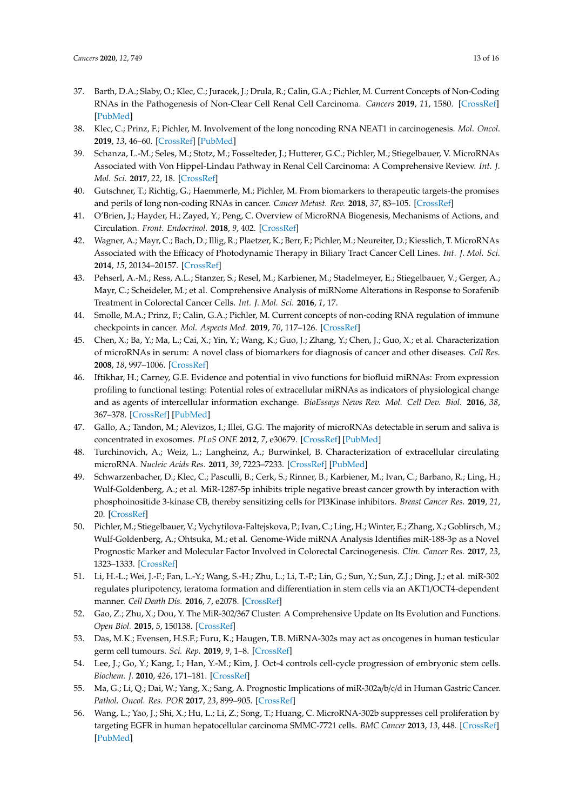- <span id="page-12-0"></span>37. Barth, D.A.; Slaby, O.; Klec, C.; Juracek, J.; Drula, R.; Calin, G.A.; Pichler, M. Current Concepts of Non-Coding RNAs in the Pathogenesis of Non-Clear Cell Renal Cell Carcinoma. *Cancers* **2019**, *11*, 1580. [\[CrossRef\]](http://dx.doi.org/10.3390/cancers11101580) [\[PubMed\]](http://www.ncbi.nlm.nih.gov/pubmed/31627266)
- 38. Klec, C.; Prinz, F.; Pichler, M. Involvement of the long noncoding RNA NEAT1 in carcinogenesis. *Mol. Oncol.* **2019**, *13*, 46–60. [\[CrossRef\]](http://dx.doi.org/10.1002/1878-0261.12404) [\[PubMed\]](http://www.ncbi.nlm.nih.gov/pubmed/30430751)
- <span id="page-12-1"></span>39. Schanza, L.-M.; Seles, M.; Stotz, M.; Fosselteder, J.; Hutterer, G.C.; Pichler, M.; Stiegelbauer, V. MicroRNAs Associated with Von Hippel-Lindau Pathway in Renal Cell Carcinoma: A Comprehensive Review. *Int. J. Mol. Sci.* **2017**, *22*, 18. [\[CrossRef\]](http://dx.doi.org/10.3390/ijms18112495)
- <span id="page-12-2"></span>40. Gutschner, T.; Richtig, G.; Haemmerle, M.; Pichler, M. From biomarkers to therapeutic targets-the promises and perils of long non-coding RNAs in cancer. *Cancer Metast. Rev.* **2018**, *37*, 83–105. [\[CrossRef\]](http://dx.doi.org/10.1007/s10555-017-9718-5)
- <span id="page-12-3"></span>41. O'Brien, J.; Hayder, H.; Zayed, Y.; Peng, C. Overview of MicroRNA Biogenesis, Mechanisms of Actions, and Circulation. *Front. Endocrinol.* **2018**, *9*, 402. [\[CrossRef\]](http://dx.doi.org/10.3389/fendo.2018.00402)
- 42. Wagner, A.; Mayr, C.; Bach, D.; Illig, R.; Plaetzer, K.; Berr, F.; Pichler, M.; Neureiter, D.; Kiesslich, T. MicroRNAs Associated with the Efficacy of Photodynamic Therapy in Biliary Tract Cancer Cell Lines. *Int. J. Mol. Sci.* **2014**, *15*, 20134–20157. [\[CrossRef\]](http://dx.doi.org/10.3390/ijms151120134)
- 43. Pehserl, A.-M.; Ress, A.L.; Stanzer, S.; Resel, M.; Karbiener, M.; Stadelmeyer, E.; Stiegelbauer, V.; Gerger, A.; Mayr, C.; Scheideler, M.; et al. Comprehensive Analysis of miRNome Alterations in Response to Sorafenib Treatment in Colorectal Cancer Cells. *Int. J. Mol. Sci.* **2016**, *1*, 17.
- <span id="page-12-4"></span>44. Smolle, M.A.; Prinz, F.; Calin, G.A.; Pichler, M. Current concepts of non-coding RNA regulation of immune checkpoints in cancer. *Mol. Aspects Med.* **2019**, *70*, 117–126. [\[CrossRef\]](http://dx.doi.org/10.1016/j.mam.2019.09.007)
- <span id="page-12-5"></span>45. Chen, X.; Ba, Y.; Ma, L.; Cai, X.; Yin, Y.; Wang, K.; Guo, J.; Zhang, Y.; Chen, J.; Guo, X.; et al. Characterization of microRNAs in serum: A novel class of biomarkers for diagnosis of cancer and other diseases. *Cell Res.* **2008**, *18*, 997–1006. [\[CrossRef\]](http://dx.doi.org/10.1038/cr.2008.282)
- <span id="page-12-6"></span>46. Iftikhar, H.; Carney, G.E. Evidence and potential in vivo functions for biofluid miRNAs: From expression profiling to functional testing: Potential roles of extracellular miRNAs as indicators of physiological change and as agents of intercellular information exchange. *BioEssays News Rev. Mol. Cell Dev. Biol.* **2016**, *38*, 367–378. [\[CrossRef\]](http://dx.doi.org/10.1002/bies.201500130) [\[PubMed\]](http://www.ncbi.nlm.nih.gov/pubmed/26934338)
- 47. Gallo, A.; Tandon, M.; Alevizos, I.; Illei, G.G. The majority of microRNAs detectable in serum and saliva is concentrated in exosomes. *PLoS ONE* **2012**, *7*, e30679. [\[CrossRef\]](http://dx.doi.org/10.1371/journal.pone.0030679) [\[PubMed\]](http://www.ncbi.nlm.nih.gov/pubmed/22427800)
- <span id="page-12-7"></span>48. Turchinovich, A.; Weiz, L.; Langheinz, A.; Burwinkel, B. Characterization of extracellular circulating microRNA. *Nucleic Acids Res.* **2011**, *39*, 7223–7233. [\[CrossRef\]](http://dx.doi.org/10.1093/nar/gkr254) [\[PubMed\]](http://www.ncbi.nlm.nih.gov/pubmed/21609964)
- <span id="page-12-8"></span>49. Schwarzenbacher, D.; Klec, C.; Pasculli, B.; Cerk, S.; Rinner, B.; Karbiener, M.; Ivan, C.; Barbano, R.; Ling, H.; Wulf-Goldenberg, A.; et al. MiR-1287-5p inhibits triple negative breast cancer growth by interaction with phosphoinositide 3-kinase CB, thereby sensitizing cells for PI3Kinase inhibitors. *Breast Cancer Res.* **2019**, *21*, 20. [\[CrossRef\]](http://dx.doi.org/10.1186/s13058-019-1104-5)
- <span id="page-12-9"></span>50. Pichler, M.; Stiegelbauer, V.; Vychytilova-Faltejskova, P.; Ivan, C.; Ling, H.; Winter, E.; Zhang, X.; Goblirsch, M.; Wulf-Goldenberg, A.; Ohtsuka, M.; et al. Genome-Wide miRNA Analysis Identifies miR-188-3p as a Novel Prognostic Marker and Molecular Factor Involved in Colorectal Carcinogenesis. *Clin. Cancer Res.* **2017**, *23*, 1323–1333. [\[CrossRef\]](http://dx.doi.org/10.1158/1078-0432.CCR-16-0497)
- <span id="page-12-10"></span>51. Li, H.-L.; Wei, J.-F.; Fan, L.-Y.; Wang, S.-H.; Zhu, L.; Li, T.-P.; Lin, G.; Sun, Y.; Sun, Z.J.; Ding, J.; et al. miR-302 regulates pluripotency, teratoma formation and differentiation in stem cells via an AKT1/OCT4-dependent manner. *Cell Death Dis.* **2016**, *7*, e2078. [\[CrossRef\]](http://dx.doi.org/10.1038/cddis.2015.383)
- <span id="page-12-11"></span>52. Gao, Z.; Zhu, X.; Dou, Y. The MiR-302/367 Cluster: A Comprehensive Update on Its Evolution and Functions. *Open Biol.* **2015**, *5*, 150138. [\[CrossRef\]](http://dx.doi.org/10.1098/rsob.150138)
- <span id="page-12-12"></span>53. Das, M.K.; Evensen, H.S.F.; Furu, K.; Haugen, T.B. MiRNA-302s may act as oncogenes in human testicular germ cell tumours. *Sci. Rep.* **2019**, *9*, 1–8. [\[CrossRef\]](http://dx.doi.org/10.1038/s41598-019-45573-6)
- <span id="page-12-13"></span>54. Lee, J.; Go, Y.; Kang, I.; Han, Y.-M.; Kim, J. Oct-4 controls cell-cycle progression of embryonic stem cells. *Biochem. J.* **2010**, *426*, 171–181. [\[CrossRef\]](http://dx.doi.org/10.1042/BJ20091439)
- <span id="page-12-14"></span>55. Ma, G.; Li, Q.; Dai, W.; Yang, X.; Sang, A. Prognostic Implications of miR-302a/b/c/d in Human Gastric Cancer. *Pathol. Oncol. Res. POR* **2017**, *23*, 899–905. [\[CrossRef\]](http://dx.doi.org/10.1007/s12253-017-0282-7)
- 56. Wang, L.; Yao, J.; Shi, X.; Hu, L.; Li, Z.; Song, T.; Huang, C. MicroRNA-302b suppresses cell proliferation by targeting EGFR in human hepatocellular carcinoma SMMC-7721 cells. *BMC Cancer* **2013**, *13*, 448. [\[CrossRef\]](http://dx.doi.org/10.1186/1471-2407-13-448) [\[PubMed\]](http://www.ncbi.nlm.nih.gov/pubmed/24083596)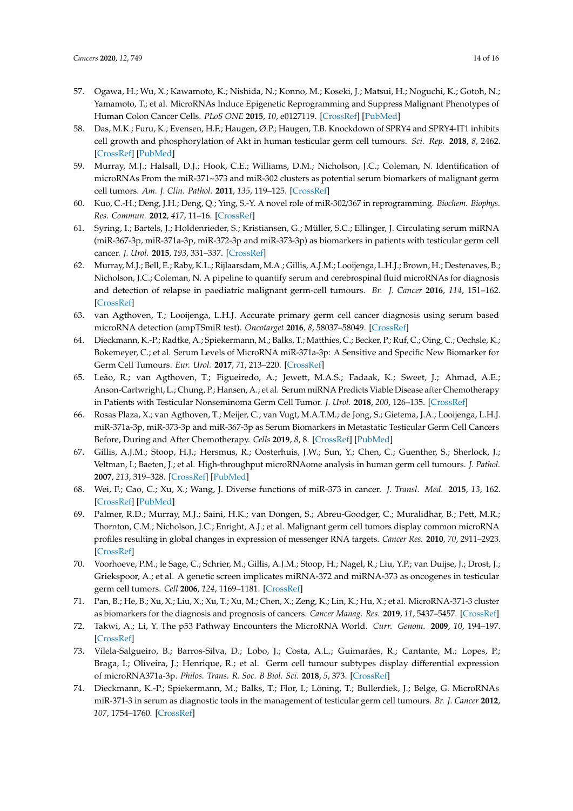- <span id="page-13-0"></span>57. Ogawa, H.; Wu, X.; Kawamoto, K.; Nishida, N.; Konno, M.; Koseki, J.; Matsui, H.; Noguchi, K.; Gotoh, N.; Yamamoto, T.; et al. MicroRNAs Induce Epigenetic Reprogramming and Suppress Malignant Phenotypes of Human Colon Cancer Cells. *PLoS ONE* **2015**, *10*, e0127119. [\[CrossRef\]](http://dx.doi.org/10.1371/journal.pone.0127119) [\[PubMed\]](http://www.ncbi.nlm.nih.gov/pubmed/25970424)
- <span id="page-13-1"></span>58. Das, M.K.; Furu, K.; Evensen, H.F.; Haugen, Ø.P.; Haugen, T.B. Knockdown of SPRY4 and SPRY4-IT1 inhibits cell growth and phosphorylation of Akt in human testicular germ cell tumours. *Sci. Rep.* **2018**, *8*, 2462. [\[CrossRef\]](http://dx.doi.org/10.1038/s41598-018-20846-8) [\[PubMed\]](http://www.ncbi.nlm.nih.gov/pubmed/29410498)
- <span id="page-13-2"></span>59. Murray, M.J.; Halsall, D.J.; Hook, C.E.; Williams, D.M.; Nicholson, J.C.; Coleman, N. Identification of microRNAs From the miR-371~373 and miR-302 clusters as potential serum biomarkers of malignant germ cell tumors. *Am. J. Clin. Pathol.* **2011**, *135*, 119–125. [\[CrossRef\]](http://dx.doi.org/10.1309/AJCPOE11KEYZCJHT)
- <span id="page-13-3"></span>60. Kuo, C.-H.; Deng, J.H.; Deng, Q.; Ying, S.-Y. A novel role of miR-302/367 in reprogramming. *Biochem. Biophys. Res. Commun.* **2012**, *417*, 11–16. [\[CrossRef\]](http://dx.doi.org/10.1016/j.bbrc.2011.11.058)
- <span id="page-13-4"></span>61. Syring, I.; Bartels, J.; Holdenrieder, S.; Kristiansen, G.; Müller, S.C.; Ellinger, J. Circulating serum miRNA (miR-367-3p, miR-371a-3p, miR-372-3p and miR-373-3p) as biomarkers in patients with testicular germ cell cancer. *J. Urol.* **2015**, *193*, 331–337. [\[CrossRef\]](http://dx.doi.org/10.1016/j.juro.2014.07.010)
- <span id="page-13-5"></span>62. Murray, M.J.; Bell, E.; Raby, K.L.; Rijlaarsdam, M.A.; Gillis, A.J.M.; Looijenga, L.H.J.; Brown, H.; Destenaves, B.; Nicholson, J.C.; Coleman, N. A pipeline to quantify serum and cerebrospinal fluid microRNAs for diagnosis and detection of relapse in paediatric malignant germ-cell tumours. *Br. J. Cancer* **2016**, *114*, 151–162. [\[CrossRef\]](http://dx.doi.org/10.1038/bjc.2015.429)
- <span id="page-13-6"></span>63. van Agthoven, T.; Looijenga, L.H.J. Accurate primary germ cell cancer diagnosis using serum based microRNA detection (ampTSmiR test). *Oncotarget* **2016**, *8*, 58037–58049. [\[CrossRef\]](http://dx.doi.org/10.18632/oncotarget.10867)
- <span id="page-13-7"></span>64. Dieckmann, K.-P.; Radtke, A.; Spiekermann, M.; Balks, T.; Matthies, C.; Becker, P.; Ruf, C.; Oing, C.; Oechsle, K.; Bokemeyer, C.; et al. Serum Levels of MicroRNA miR-371a-3p: A Sensitive and Specific New Biomarker for Germ Cell Tumours. *Eur. Urol.* **2017**, *71*, 213–220. [\[CrossRef\]](http://dx.doi.org/10.1016/j.eururo.2016.07.029)
- <span id="page-13-8"></span>65. Leão, R.; van Agthoven, T.; Figueiredo, A.; Jewett, M.A.S.; Fadaak, K.; Sweet, J.; Ahmad, A.E.; Anson-Cartwright, L.; Chung, P.; Hansen, A.; et al. Serum miRNA Predicts Viable Disease after Chemotherapy in Patients with Testicular Nonseminoma Germ Cell Tumor. *J. Urol.* **2018**, *200*, 126–135. [\[CrossRef\]](http://dx.doi.org/10.1016/j.juro.2018.02.068)
- <span id="page-13-9"></span>66. Rosas Plaza, X.; van Agthoven, T.; Meijer, C.; van Vugt, M.A.T.M.; de Jong, S.; Gietema, J.A.; Looijenga, L.H.J. miR-371a-3p, miR-373-3p and miR-367-3p as Serum Biomarkers in Metastatic Testicular Germ Cell Cancers Before, During and After Chemotherapy. *Cells* **2019**, *8*, 8. [\[CrossRef\]](http://dx.doi.org/10.3390/cells8101221) [\[PubMed\]](http://www.ncbi.nlm.nih.gov/pubmed/31597402)
- <span id="page-13-10"></span>67. Gillis, A.J.M.; Stoop, H.J.; Hersmus, R.; Oosterhuis, J.W.; Sun, Y.; Chen, C.; Guenther, S.; Sherlock, J.; Veltman, I.; Baeten, J.; et al. High-throughput microRNAome analysis in human germ cell tumours. *J. Pathol.* **2007**, *213*, 319–328. [\[CrossRef\]](http://dx.doi.org/10.1002/path.2230) [\[PubMed\]](http://www.ncbi.nlm.nih.gov/pubmed/17893849)
- <span id="page-13-11"></span>68. Wei, F.; Cao, C.; Xu, X.; Wang, J. Diverse functions of miR-373 in cancer. *J. Transl. Med.* **2015**, *13*, 162. [\[CrossRef\]](http://dx.doi.org/10.1186/s12967-015-0523-z) [\[PubMed\]](http://www.ncbi.nlm.nih.gov/pubmed/25990556)
- <span id="page-13-12"></span>69. Palmer, R.D.; Murray, M.J.; Saini, H.K.; van Dongen, S.; Abreu-Goodger, C.; Muralidhar, B.; Pett, M.R.; Thornton, C.M.; Nicholson, J.C.; Enright, A.J.; et al. Malignant germ cell tumors display common microRNA profiles resulting in global changes in expression of messenger RNA targets. *Cancer Res.* **2010**, *70*, 2911–2923. [\[CrossRef\]](http://dx.doi.org/10.1158/0008-5472.CAN-09-3301)
- <span id="page-13-13"></span>70. Voorhoeve, P.M.; le Sage, C.; Schrier, M.; Gillis, A.J.M.; Stoop, H.; Nagel, R.; Liu, Y.P.; van Duijse, J.; Drost, J.; Griekspoor, A.; et al. A genetic screen implicates miRNA-372 and miRNA-373 as oncogenes in testicular germ cell tumors. *Cell* **2006**, *124*, 1169–1181. [\[CrossRef\]](http://dx.doi.org/10.1016/j.cell.2006.02.037)
- 71. Pan, B.; He, B.; Xu, X.; Liu, X.; Xu, T.; Xu, M.; Chen, X.; Zeng, K.; Lin, K.; Hu, X.; et al. MicroRNA-371-3 cluster as biomarkers for the diagnosis and prognosis of cancers. *Cancer Manag. Res.* **2019**, *11*, 5437–5457. [\[CrossRef\]](http://dx.doi.org/10.2147/CMAR.S190833)
- 72. Takwi, A.; Li, Y. The p53 Pathway Encounters the MicroRNA World. *Curr. Genom.* **2009**, *10*, 194–197. [\[CrossRef\]](http://dx.doi.org/10.2174/138920209788185270)
- <span id="page-13-14"></span>73. Vilela-Salgueiro, B.; Barros-Silva, D.; Lobo, J.; Costa, A.L.; Guimarães, R.; Cantante, M.; Lopes, P.; Braga, I.; Oliveira, J.; Henrique, R.; et al. Germ cell tumour subtypes display differential expression of microRNA371a-3p. *Philos. Trans. R. Soc. B Biol. Sci.* **2018**, *5*, 373. [\[CrossRef\]](http://dx.doi.org/10.1098/rstb.2017.0338)
- <span id="page-13-15"></span>74. Dieckmann, K.-P.; Spiekermann, M.; Balks, T.; Flor, I.; Löning, T.; Bullerdiek, J.; Belge, G. MicroRNAs miR-371-3 in serum as diagnostic tools in the management of testicular germ cell tumours. *Br. J. Cancer* **2012**, *107*, 1754–1760. [\[CrossRef\]](http://dx.doi.org/10.1038/bjc.2012.469)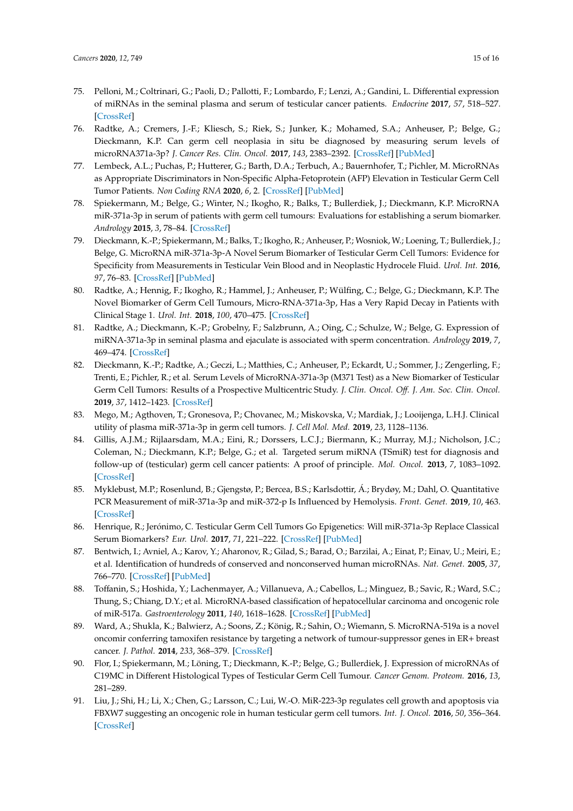- <span id="page-14-0"></span>75. Pelloni, M.; Coltrinari, G.; Paoli, D.; Pallotti, F.; Lombardo, F.; Lenzi, A.; Gandini, L. Differential expression of miRNAs in the seminal plasma and serum of testicular cancer patients. *Endocrine* **2017**, *57*, 518–527. [\[CrossRef\]](http://dx.doi.org/10.1007/s12020-016-1150-z)
- <span id="page-14-1"></span>76. Radtke, A.; Cremers, J.-F.; Kliesch, S.; Riek, S.; Junker, K.; Mohamed, S.A.; Anheuser, P.; Belge, G.; Dieckmann, K.P. Can germ cell neoplasia in situ be diagnosed by measuring serum levels of microRNA371a-3p? *J. Cancer Res. Clin. Oncol.* **2017**, *143*, 2383–2392. [\[CrossRef\]](http://dx.doi.org/10.1007/s00432-017-2490-7) [\[PubMed\]](http://www.ncbi.nlm.nih.gov/pubmed/28819887)
- <span id="page-14-2"></span>77. Lembeck, A.L.; Puchas, P.; Hutterer, G.; Barth, D.A.; Terbuch, A.; Bauernhofer, T.; Pichler, M. MicroRNAs as Appropriate Discriminators in Non-Specific Alpha-Fetoprotein (AFP) Elevation in Testicular Germ Cell Tumor Patients. *Non Coding RNA* **2020**, *6*, 2. [\[CrossRef\]](http://dx.doi.org/10.3390/ncrna6010002) [\[PubMed\]](http://www.ncbi.nlm.nih.gov/pubmed/31906360)
- <span id="page-14-3"></span>78. Spiekermann, M.; Belge, G.; Winter, N.; Ikogho, R.; Balks, T.; Bullerdiek, J.; Dieckmann, K.P. MicroRNA miR-371a-3p in serum of patients with germ cell tumours: Evaluations for establishing a serum biomarker. *Andrology* **2015**, *3*, 78–84. [\[CrossRef\]](http://dx.doi.org/10.1111/j.2047-2927.2014.00269.x)
- <span id="page-14-4"></span>79. Dieckmann, K.-P.; Spiekermann, M.; Balks, T.; Ikogho, R.; Anheuser, P.; Wosniok, W.; Loening, T.; Bullerdiek, J.; Belge, G. MicroRNA miR-371a-3p-A Novel Serum Biomarker of Testicular Germ Cell Tumors: Evidence for Specificity from Measurements in Testicular Vein Blood and in Neoplastic Hydrocele Fluid. *Urol. Int.* **2016**, *97*, 76–83. [\[CrossRef\]](http://dx.doi.org/10.1159/000444303) [\[PubMed\]](http://www.ncbi.nlm.nih.gov/pubmed/26989896)
- <span id="page-14-5"></span>80. Radtke, A.; Hennig, F.; Ikogho, R.; Hammel, J.; Anheuser, P.; Wülfing, C.; Belge, G.; Dieckmann, K.P. The Novel Biomarker of Germ Cell Tumours, Micro-RNA-371a-3p, Has a Very Rapid Decay in Patients with Clinical Stage 1. *Urol. Int.* **2018**, *100*, 470–475. [\[CrossRef\]](http://dx.doi.org/10.1159/000488771)
- <span id="page-14-6"></span>81. Radtke, A.; Dieckmann, K.-P.; Grobelny, F.; Salzbrunn, A.; Oing, C.; Schulze, W.; Belge, G. Expression of miRNA-371a-3p in seminal plasma and ejaculate is associated with sperm concentration. *Andrology* **2019**, *7*, 469–474. [\[CrossRef\]](http://dx.doi.org/10.1111/andr.12664)
- <span id="page-14-7"></span>82. Dieckmann, K.-P.; Radtke, A.; Geczi, L.; Matthies, C.; Anheuser, P.; Eckardt, U.; Sommer, J.; Zengerling, F.; Trenti, E.; Pichler, R.; et al. Serum Levels of MicroRNA-371a-3p (M371 Test) as a New Biomarker of Testicular Germ Cell Tumors: Results of a Prospective Multicentric Study. *J. Clin. Oncol. O*ff*. J. Am. Soc. Clin. Oncol.* **2019**, *37*, 1412–1423. [\[CrossRef\]](http://dx.doi.org/10.1200/JCO.18.01480)
- <span id="page-14-8"></span>83. Mego, M.; Agthoven, T.; Gronesova, P.; Chovanec, M.; Miskovska, V.; Mardiak, J.; Looijenga, L.H.J. Clinical utility of plasma miR-371a-3p in germ cell tumors. *J. Cell Mol. Med.* **2019**, *23*, 1128–1136.
- <span id="page-14-9"></span>84. Gillis, A.J.M.; Rijlaarsdam, M.A.; Eini, R.; Dorssers, L.C.J.; Biermann, K.; Murray, M.J.; Nicholson, J.C.; Coleman, N.; Dieckmann, K.P.; Belge, G.; et al. Targeted serum miRNA (TSmiR) test for diagnosis and follow-up of (testicular) germ cell cancer patients: A proof of principle. *Mol. Oncol.* **2013**, *7*, 1083–1092. [\[CrossRef\]](http://dx.doi.org/10.1016/j.molonc.2013.08.002)
- <span id="page-14-10"></span>85. Myklebust, M.P.; Rosenlund, B.; Gjengstø, P.; Bercea, B.S.; Karlsdottir, Á.; Brydøy, M.; Dahl, O. Quantitative PCR Measurement of miR-371a-3p and miR-372-p Is Influenced by Hemolysis. *Front. Genet.* **2019**, *10*, 463. [\[CrossRef\]](http://dx.doi.org/10.3389/fgene.2019.00463)
- <span id="page-14-11"></span>86. Henrique, R.; Jerónimo, C. Testicular Germ Cell Tumors Go Epigenetics: Will miR-371a-3p Replace Classical Serum Biomarkers? *Eur. Urol.* **2017**, *71*, 221–222. [\[CrossRef\]](http://dx.doi.org/10.1016/j.eururo.2016.08.013) [\[PubMed\]](http://www.ncbi.nlm.nih.gov/pubmed/27543167)
- <span id="page-14-12"></span>87. Bentwich, I.; Avniel, A.; Karov, Y.; Aharonov, R.; Gilad, S.; Barad, O.; Barzilai, A.; Einat, P.; Einav, U.; Meiri, E.; et al. Identification of hundreds of conserved and nonconserved human microRNAs. *Nat. Genet.* **2005**, *37*, 766–770. [\[CrossRef\]](http://dx.doi.org/10.1038/ng1590) [\[PubMed\]](http://www.ncbi.nlm.nih.gov/pubmed/15965474)
- <span id="page-14-13"></span>88. Toffanin, S.; Hoshida, Y.; Lachenmayer, A.; Villanueva, A.; Cabellos, L.; Minguez, B.; Savic, R.; Ward, S.C.; Thung, S.; Chiang, D.Y.; et al. MicroRNA-based classification of hepatocellular carcinoma and oncogenic role of miR-517a. *Gastroenterology* **2011**, *140*, 1618–1628. [\[CrossRef\]](http://dx.doi.org/10.1053/j.gastro.2011.02.009) [\[PubMed\]](http://www.ncbi.nlm.nih.gov/pubmed/21324318)
- <span id="page-14-14"></span>89. Ward, A.; Shukla, K.; Balwierz, A.; Soons, Z.; König, R.; Sahin, O.; Wiemann, S. MicroRNA-519a is a novel oncomir conferring tamoxifen resistance by targeting a network of tumour-suppressor genes in ER+ breast cancer. *J. Pathol.* **2014**, *233*, 368–379. [\[CrossRef\]](http://dx.doi.org/10.1002/path.4363)
- <span id="page-14-15"></span>90. Flor, I.; Spiekermann, M.; Löning, T.; Dieckmann, K.-P.; Belge, G.; Bullerdiek, J. Expression of microRNAs of C19MC in Different Histological Types of Testicular Germ Cell Tumour. *Cancer Genom. Proteom.* **2016**, *13*, 281–289.
- <span id="page-14-16"></span>91. Liu, J.; Shi, H.; Li, X.; Chen, G.; Larsson, C.; Lui, W.-O. MiR-223-3p regulates cell growth and apoptosis via FBXW7 suggesting an oncogenic role in human testicular germ cell tumors. *Int. J. Oncol.* **2016**, *50*, 356–364. [\[CrossRef\]](http://dx.doi.org/10.3892/ijo.2016.3807)